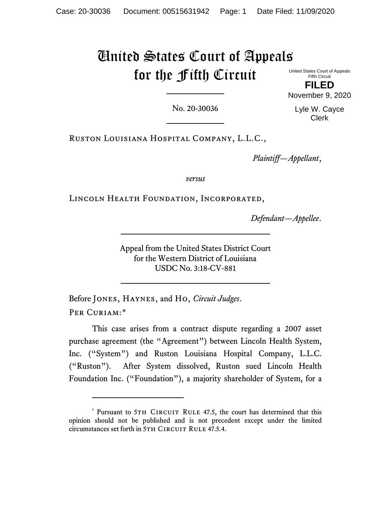## United States Court of Appeals for the Fifth Circuit

United States Court of Appeals Fifth Circuit

**FILED** November 9, 2020

No. 20-30036

Lyle W. Cayce Clerk

Ruston Louisiana Hospital Company, L.L.C.,

*Plaintiff—Appellant*,

*versus*

Lincoln Health Foundation, Incorporated,

*Defendant—Appellee*.

Appeal from the United States District Court for the Western District of Louisiana USDC No. 3:18-CV-881

Before Jones, Haynes, and Ho, *Circuit Judges*. PER CURIAM:[\\*](#page-0-0)

This case arises from a contract dispute regarding a 2007 asset purchase agreement (the "Agreement") between Lincoln Health System, Inc. ("System") and Ruston Louisiana Hospital Company, L.L.C. ("Ruston"). After System dissolved, Ruston sued Lincoln Health Foundation Inc. ("Foundation"), a majority shareholder of System, for a

<span id="page-0-0"></span><sup>\*</sup> Pursuant to 5TH CIRCUIT RULE 47.5, the court has determined that this opinion should not be published and is not precedent except under the limited circumstances set forth in 5TH CIRCUIT RULE 47.5.4.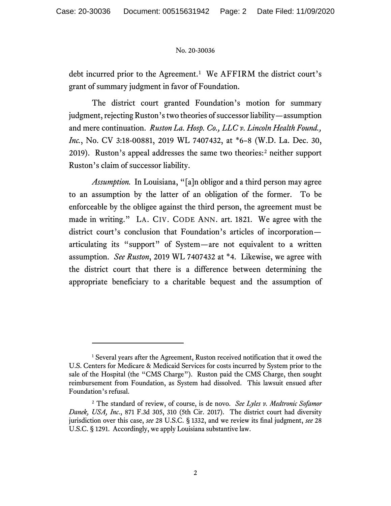## No. 20-30036

debt incurred prior to the Agreement.<sup>[1](#page-1-0)</sup> We AFFIRM the district court's grant of summary judgment in favor of Foundation.

The district court granted Foundation's motion for summary judgment, rejecting Ruston's two theories of successor liability—assumption and mere continuation. *Ruston La. Hosp. Co., LLC v. Lincoln Health Found., Inc.*, No. CV 3:18-00881, 2019 WL 7407432, at \*6–8 (W.D. La. Dec. 30, 2019). Ruston's appeal addresses the same two theories: [2](#page-1-1) neither support Ruston's claim of successor liability.

*Assumption.* In Louisiana, "[a]n obligor and a third person may agree to an assumption by the latter of an obligation of the former. To be enforceable by the obligee against the third person, the agreement must be made in writing." LA. CIV. CODE ANN. art. 1821. We agree with the district court's conclusion that Foundation's articles of incorporation articulating its "support" of System—are not equivalent to a written assumption. *See Ruston*, 2019 WL 7407432 at \*4. Likewise, we agree with the district court that there is a difference between determining the appropriate beneficiary to a charitable bequest and the assumption of

<span id="page-1-0"></span><sup>&</sup>lt;sup>1</sup> Several years after the Agreement, Ruston received notification that it owed the U.S. Centers for Medicare & Medicaid Services for costs incurred by System prior to the sale of the Hospital (the "CMS Charge"). Ruston paid the CMS Charge, then sought reimbursement from Foundation, as System had dissolved. This lawsuit ensued after Foundation's refusal.

<span id="page-1-1"></span><sup>2</sup> The standard of review, of course, is de novo. *See Lyles v. Medtronic Sofamor Danek, USA, Inc*., 871 F.3d 305, 310 (5th Cir. 2017). The district court had diversity jurisdiction over this case, *see* 28 U.S.C. § 1332, and we review its final judgment, *see* 28 U.S.C. § 1291. Accordingly, we apply Louisiana substantive law.